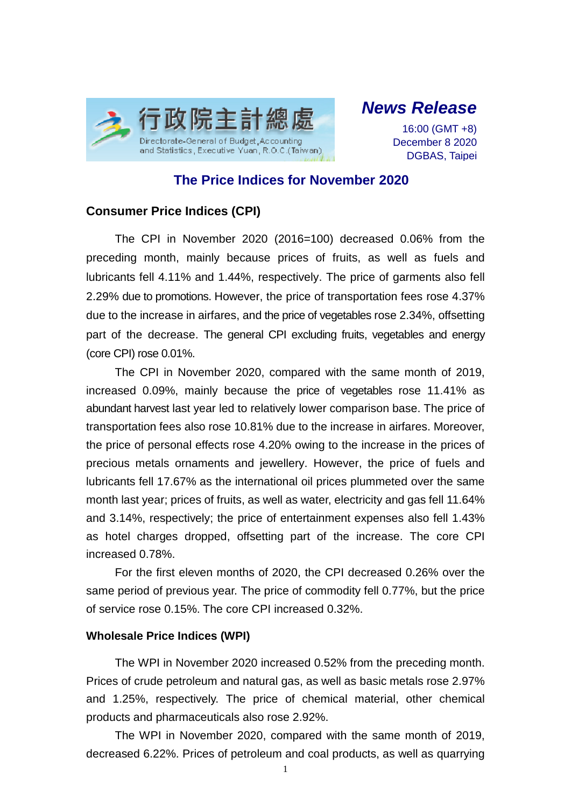

*News Release*

16:00 (GMT +8) December 8 2020 DGBAS, Taipei

# **The Price Indices for November 2020**

## **Consumer Price Indices (CPI)**

The CPI in November 2020 (2016=100) decreased 0.06% from the preceding month, mainly because prices of fruits, as well as fuels and lubricants fell 4.11% and 1.44%, respectively. The price of garments also fell 2.29% due to promotions. However, the price of transportation fees rose 4.37% due to the increase in airfares, and the price of vegetables rose 2.34%, offsetting part of the decrease. The general CPI excluding fruits, vegetables and energy (core CPI) rose 0.01%.

The CPI in November 2020, compared with the same month of 2019, increased 0.09%, mainly because the price of vegetables rose 11.41% as abundant harvest last year led to relatively lower comparison base. The price of transportation fees also rose 10.81% due to the increase in airfares. Moreover, the price of personal effects rose 4.20% owing to the increase in the prices of precious metals ornaments and jewellery. However, the price of fuels and lubricants fell 17.67% as the international oil prices plummeted over the same month last year; prices of fruits, as well as water, electricity and gas fell 11.64% and 3.14%, respectively; the price of entertainment expenses also fell 1.43% as hotel charges dropped, offsetting part of the increase. The core CPI increased 0.78%.

For the first eleven months of 2020, the CPI decreased 0.26% over the same period of previous year. The price of commodity fell 0.77%, but the price of service rose 0.15%. The core CPI increased 0.32%.

### **Wholesale Price Indices (WPI)**

The WPI in November 2020 increased 0.52% from the preceding month. Prices of crude petroleum and natural gas, as well as basic metals rose 2.97% and 1.25%, respectively. The price of chemical material, other chemical products and pharmaceuticals also rose 2.92%.

The WPI in November 2020, compared with the same month of 2019, decreased 6.22%. Prices of petroleum and coal products, as well as quarrying